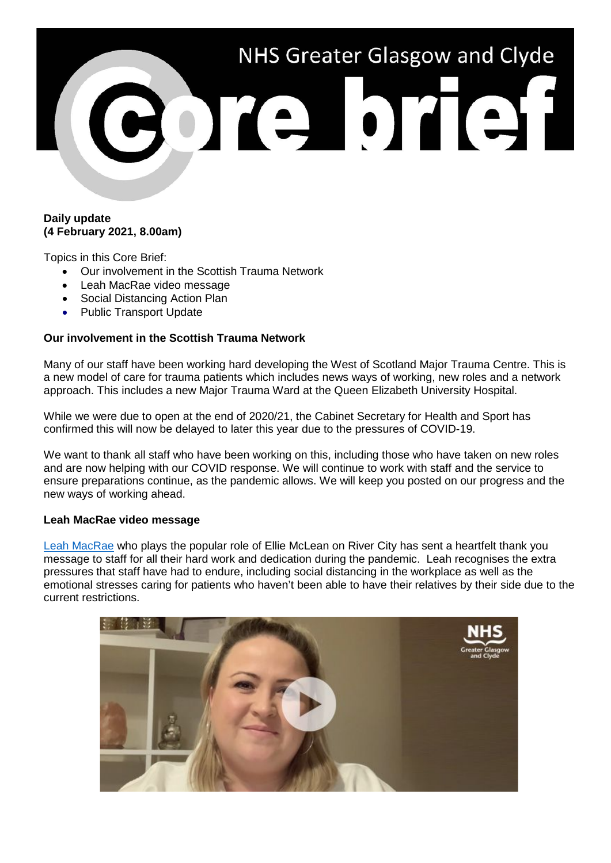# NHS Greater Glasgow and Clyde Bore brief

## **Daily update (4 February 2021, 8.00am)**

Topics in this Core Brief:

- Our involvement in the Scottish Trauma Network
- Leah MacRae video message
- Social Distancing Action Plan
- Public Transport Update

# **Our involvement in the Scottish Trauma Network**

Many of our staff have been working hard developing the West of Scotland Major Trauma Centre. This is a new model of care for trauma patients which includes news ways of working, new roles and a network approach. This includes a new Major Trauma Ward at the Queen Elizabeth University Hospital.

While we were due to open at the end of 2020/21, the Cabinet Secretary for Health and Sport has confirmed this will now be delayed to later this year due to the pressures of COVID-19.

We want to thank all staff who have been working on this, including those who have taken on new roles and are now helping with our COVID response. We will continue to work with staff and the service to ensure preparations continue, as the pandemic allows. We will keep you posted on our progress and the new ways of working ahead.

### **Leah MacRae video message**

[Leah MacRae](https://www.youtube.com/watch?v=NLVzNvYvsv0) who plays the popular role of Ellie McLean on River City has sent a heartfelt thank you message to staff for all their hard work and dedication during the pandemic. Leah recognises the extra pressures that staff have had to endure, including social distancing in the workplace as well as the emotional stresses caring for patients who haven't been able to have their relatives by their side due to the current restrictions.